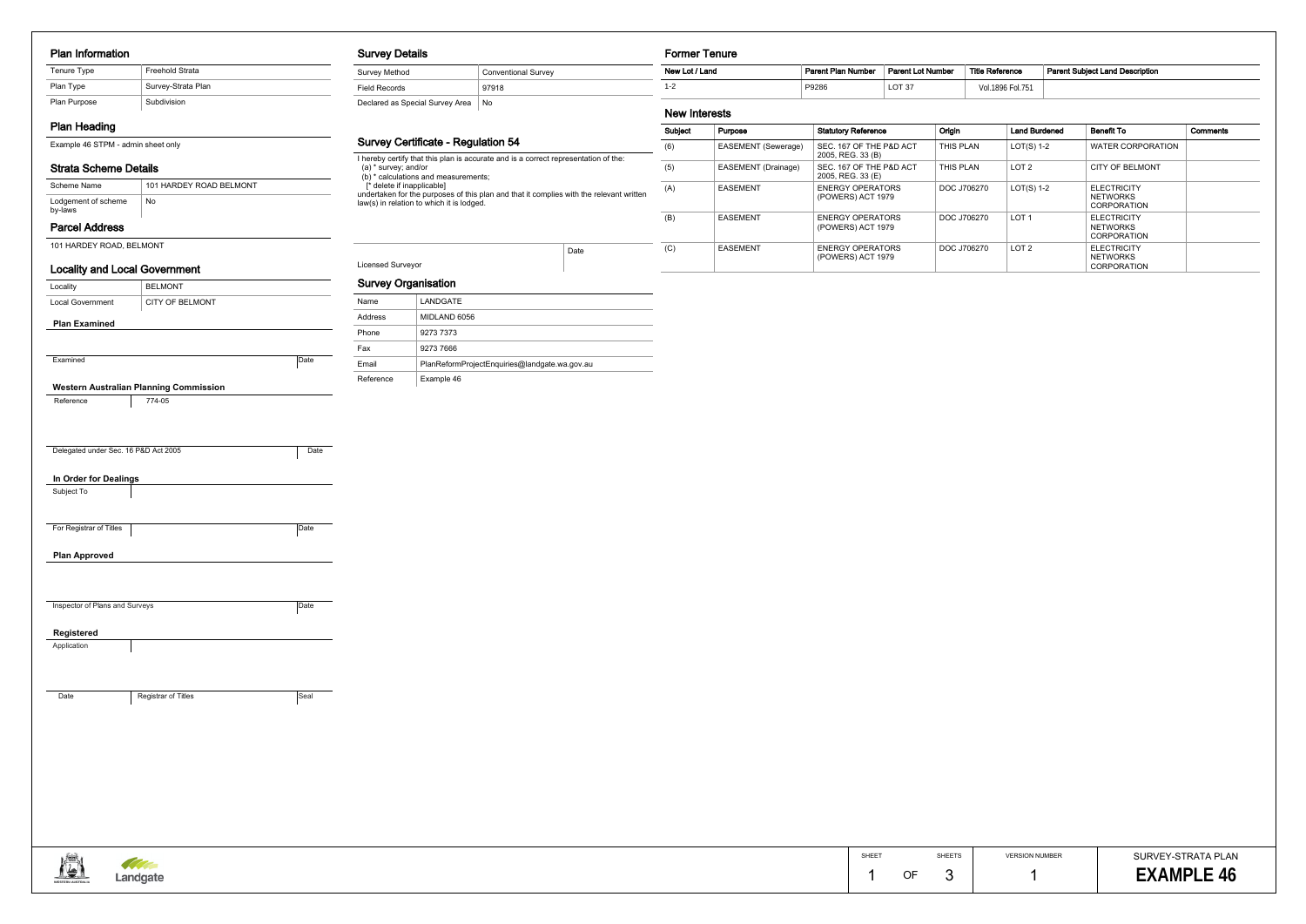#### Plan Information

| Tenure Type  | Freehold Strata    |
|--------------|--------------------|
| Plan Type    | Survey-Strata Plan |
| Plan Purpose | Subdivision        |

# Plan Heading

Example 46 STPM - admin sheet only

| Locality                                                                            | <b>BELMONT</b>                                |      |
|-------------------------------------------------------------------------------------|-----------------------------------------------|------|
| Local Government                                                                    | CITY OF BELMONT                               |      |
| <b>Plan Examined</b>                                                                |                                               |      |
|                                                                                     |                                               |      |
|                                                                                     |                                               |      |
| Examined                                                                            |                                               | Date |
|                                                                                     | <b>Western Australian Planning Commission</b> |      |
| Reference                                                                           | 774-05                                        |      |
|                                                                                     |                                               |      |
|                                                                                     |                                               |      |
| Delegated under Sec. 16 P&D Act 2005                                                |                                               | Date |
|                                                                                     |                                               |      |
| In Order for Dealings                                                               |                                               |      |
| Subject To                                                                          |                                               |      |
|                                                                                     |                                               |      |
| For Registrar of Titles                                                             |                                               | Date |
|                                                                                     |                                               |      |
|                                                                                     |                                               |      |
|                                                                                     |                                               |      |
|                                                                                     |                                               |      |
|                                                                                     |                                               |      |
|                                                                                     |                                               | Date |
|                                                                                     |                                               |      |
|                                                                                     |                                               |      |
|                                                                                     |                                               |      |
|                                                                                     |                                               |      |
| Date                                                                                | Registrar of Titles                           | Seal |
|                                                                                     |                                               |      |
|                                                                                     |                                               |      |
|                                                                                     |                                               |      |
|                                                                                     |                                               |      |
|                                                                                     |                                               |      |
| <b>Plan Approved</b><br>Inspector of Plans and Surveys<br>Registered<br>Application |                                               |      |

# Strata Scheme Details

# Parcel Address

 $\sqrt{4}$ 

101 HARDEY ROAD, BELMONT

| Scheme Name                    | 101 HARDEY ROAD BELMONT |
|--------------------------------|-------------------------|
| Lodgement of scheme<br>by-laws | No                      |

#### Survey Details

| Survey Method                   | <b>Conventional Survey</b> |
|---------------------------------|----------------------------|
| Field Records                   | 97918                      |
| Declared as Special Survey Area | No.                        |

## Survey Certificate - Regulation 54

I hereby certify that this plan is accurate and is a correct representation of the: (a) \* survey; and/or (b) \* calculations and measurements; [\* delete if inapplicable] undertaken for the purposes of this plan and that it complies with the relevant written law(s) in relation to which it is lodged.

Licensed Surveyor

Date

## Survey Organisation

| Name      | LANDGATE                                      |
|-----------|-----------------------------------------------|
| Address   | MIDLAND 6056                                  |
| Phone     | 9273 7373                                     |
| Fax       | 9273 7666                                     |
| Email     | PlanReformProjectEnguiries@landgate.wa.gov.au |
| Reference | Example 46                                    |

## Former Tenure

#### New Interests

| Subject | Purpose             | <b>Statutory Reference</b>                   | Origin      | <b>Land Burdened</b> | <b>Benefit To</b>                                           | Comments |
|---------|---------------------|----------------------------------------------|-------------|----------------------|-------------------------------------------------------------|----------|
| (6)     | EASEMENT (Sewerage) | SEC. 167 OF THE P&D ACT<br>2005, REG. 33 (B) | THIS PLAN   | $LOT(S)$ 1-2         | <b>WATER CORPORATION</b>                                    |          |
| (5)     | EASEMENT (Drainage) | SEC. 167 OF THE P&D ACT<br>2005, REG. 33 (E) | THIS PLAN   | LOT <sub>2</sub>     | CITY OF BELMONT                                             |          |
| (A)     | <b>EASEMENT</b>     | <b>ENERGY OPERATORS</b><br>(POWERS) ACT 1979 | DOC J706270 | $LOT(S)$ 1-2         | <b>ELECTRICITY</b><br><b>NETWORKS</b><br><b>CORPORATION</b> |          |
| (B)     | <b>EASEMENT</b>     | <b>ENERGY OPERATORS</b><br>(POWERS) ACT 1979 | DOC J706270 | LOT <sub>1</sub>     | <b>ELECTRICITY</b><br><b>NETWORKS</b><br>CORPORATION        |          |
| (C)     | <b>EASEMENT</b>     | <b>ENERGY OPERATORS</b><br>(POWERS) ACT 1979 | DOC J706270 | LOT <sub>2</sub>     | <b>ELECTRICITY</b><br><b>NETWORKS</b><br><b>CORPORATION</b> |          |

| Landgate | SHEET | OF | SHEETS |  |
|----------|-------|----|--------|--|
|          |       |    |        |  |

SURVEY-STRATA PLAN 46 **EXAMPLE 46**

| New Lot / Land | Parent Plan Number | <b>Parent Lot Number</b> | Title Reference  | <b>Parent Subiect Land Description</b> |
|----------------|--------------------|--------------------------|------------------|----------------------------------------|
| $1 - 2$        | P9286              | 10T27<br>ᄔᄓ<br>، ت       | Vol.1896 Fol.751 |                                        |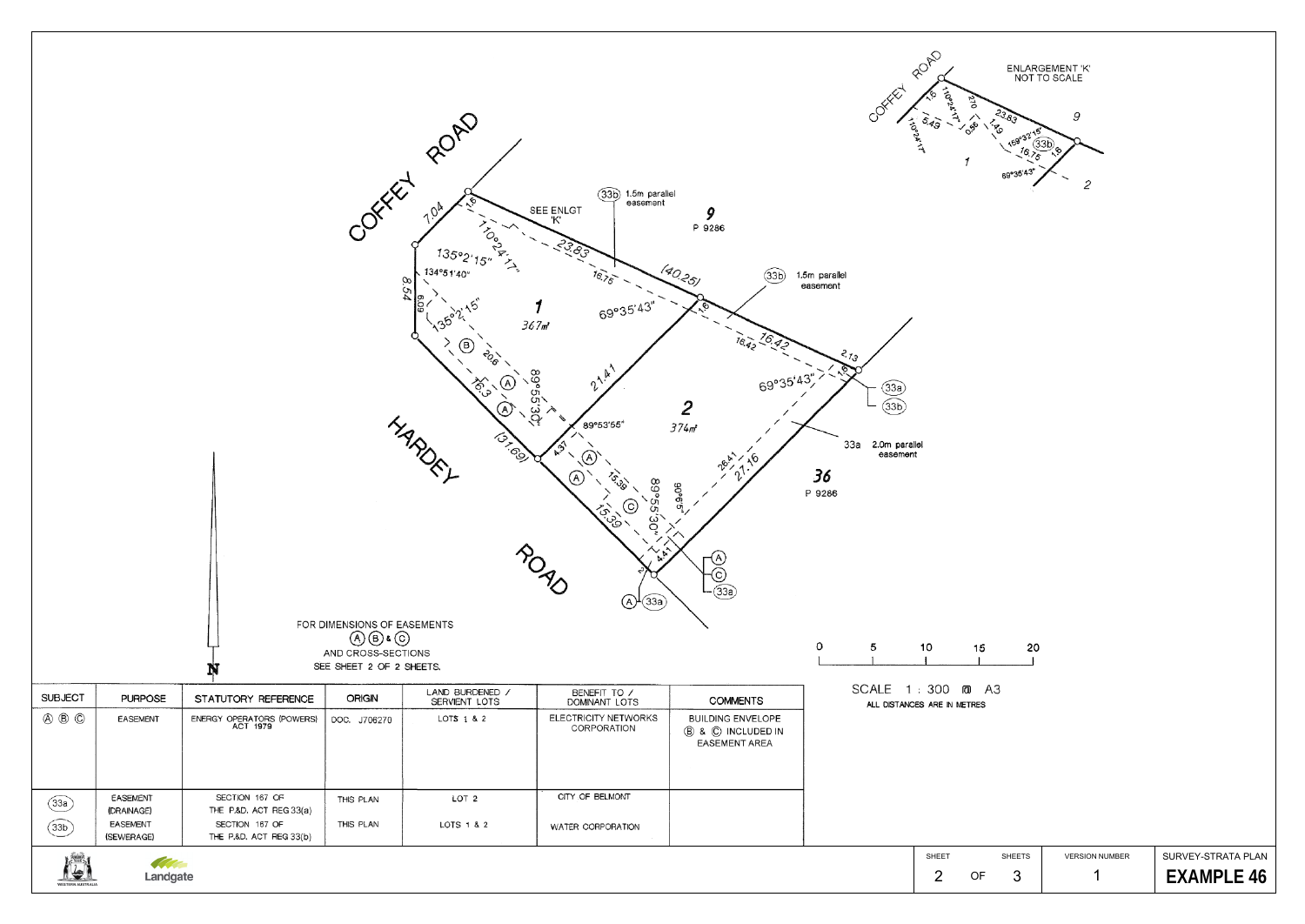SURVEY-STRATA PLAN**EXAMPLE 46** 

VERSION NUMBER1

|                                                         |                                                                |                                                                                        | COREFEE                                                                       | ROAD<br>$10^{\text{A}}$<br>INDOCRATIC<br>C<br>135°2′15″<br>134°51'40"<br>8.54<br>609<br>13501<br>Ο<br>$^{\circ}$<br>$\mathcal{O}_{\mathcal{O}}$<br>$\odot$<br><b>RIVER</b><br>Ò<br>HARDEL<br>(SI-OS) | (33b)<br>1.5m parallel<br>easement<br>SEE ENLGT<br>ૺઌૺૺૺૺૺૺૺૺૺ<br>$1675 -$<br>69°35'43"<br>367m<br>21.41<br>89°55'30<br>89°53'55"<br>ή,<br>$\mathcal{O}$<br>$^{\circledR}$<br>89°55'30"<br>1000<br>ROAC | 9<br>P 9286<br>(40.25)<br>(33b)<br>16.42<br>76.42<br>69°35'43'<br>$\mathcal{Z}_{\mathcal{C}}$<br>374 <sub>π</sub><br>28.47.16<br>$60^66^{54}$<br>$\overline{\phantom{a}}$<br>$\times^{\prime}$<br>⌒<br>(A,<br>C<br>$-\overline{\overset{\circ}{(33a)}}$ | 1.5m parailel<br>easement<br>$\epsilon_{\nu}$<br>$\tilde{\circ}$<br>36<br>P 9286 | COFFEEL<br>(33a)<br>$\circled{33b}$<br>2.0m parallel<br>easement<br>33a | <b>ROAD</b><br>JOSPATA SOS<br>ত<br><b>VISOSIA</b><br>1 |
|---------------------------------------------------------|----------------------------------------------------------------|----------------------------------------------------------------------------------------|-------------------------------------------------------------------------------|------------------------------------------------------------------------------------------------------------------------------------------------------------------------------------------------------|---------------------------------------------------------------------------------------------------------------------------------------------------------------------------------------------------------|---------------------------------------------------------------------------------------------------------------------------------------------------------------------------------------------------------------------------------------------------------|----------------------------------------------------------------------------------|-------------------------------------------------------------------------|--------------------------------------------------------|
|                                                         |                                                                | N                                                                                      | FOR DIMENSIONS OF EASEMENTS<br>AND CROSS-SECTIONS<br>SEE SHEET 2 OF 2 SHEETS. |                                                                                                                                                                                                      | $\bigodot$ <sup>1</sup> $(33a)$                                                                                                                                                                         |                                                                                                                                                                                                                                                         | 0                                                                                | 5                                                                       | 10<br>15                                               |
| <b>SUBJECT</b>                                          | <b>PURPOSE</b>                                                 | STATUTORY REFERENCE                                                                    | <b>ORIGIN</b>                                                                 | LAND BURDENED /<br>SERVIENT LOTS                                                                                                                                                                     | BENEFIT TO /<br>DOMINANT LOTS                                                                                                                                                                           | <b>COMMENTS</b>                                                                                                                                                                                                                                         |                                                                                  |                                                                         | SCALE 1:300 m                                          |
| $\circledA$ $\circledB$ $\circledB$                     | <b>EASEMENT</b>                                                | ENERGY OPERATORS (POWERS)<br>ACT 1979                                                  | DOC. J706270                                                                  | LOTS 1 & 2                                                                                                                                                                                           | ELECTRICITY NETWORKS<br>CORPORATION                                                                                                                                                                     | <b>BUILDING ENVELOPE</b><br><b>B</b> & C INCLUDED IN<br><b>EASEMENT AREA</b>                                                                                                                                                                            |                                                                                  |                                                                         | ALL DISTANCES ARE IN METRES                            |
| (33a)<br>(33b)                                          | <b>EASEMENT</b><br>(DRAINAGE)<br><b>EASEMENT</b><br>(SEWERAGE) | SECTION 167 OF<br>THE P.&D. ACT REG 33(a)<br>SECTION 167 OF<br>THE P.&D. ACT REG 33(b) | THIS PLAN<br>THIS PLAN                                                        | LOT <sub>2</sub><br>LOTS 1 & 2                                                                                                                                                                       | CITY OF BELMONT<br>WATER CORPORATION                                                                                                                                                                    |                                                                                                                                                                                                                                                         |                                                                                  |                                                                         |                                                        |
| <b>All Card Corporation</b><br><b>WESTERN AUSTRALIA</b> | Landgate                                                       |                                                                                        |                                                                               |                                                                                                                                                                                                      |                                                                                                                                                                                                         |                                                                                                                                                                                                                                                         |                                                                                  |                                                                         | SHEET<br>$\overline{2}$<br>OF                          |





A3

 SHEETS3